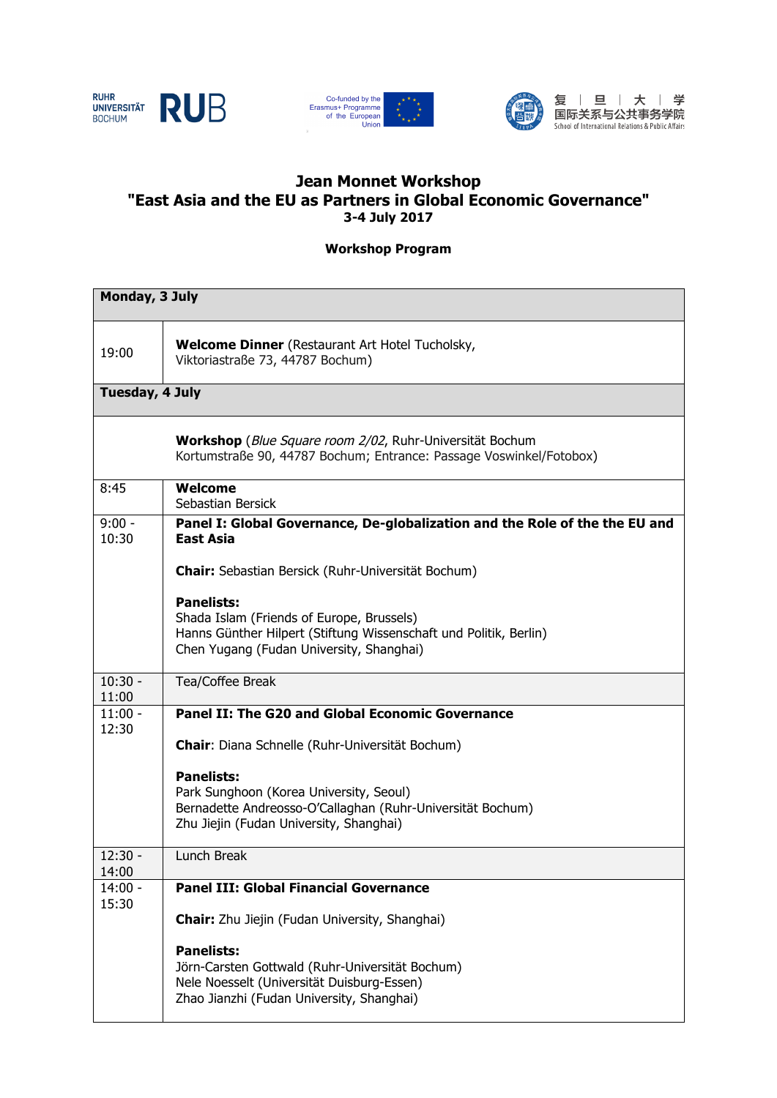





复 | 旦 | 大 | 学 

## **Jean Monnet Workshop "East Asia and the EU as Partners in Global Economic Governance" 3-4 July 2017**

**Workshop Program**

| Monday, 3 July     |                                                                                                                                                                                 |
|--------------------|---------------------------------------------------------------------------------------------------------------------------------------------------------------------------------|
| 19:00              | Welcome Dinner (Restaurant Art Hotel Tucholsky,<br>Viktoriastraße 73, 44787 Bochum)                                                                                             |
| Tuesday, 4 July    |                                                                                                                                                                                 |
|                    | Workshop (Blue Square room 2/02, Ruhr-Universität Bochum<br>Kortumstraße 90, 44787 Bochum; Entrance: Passage Voswinkel/Fotobox)                                                 |
| 8:45               | Welcome<br>Sebastian Bersick                                                                                                                                                    |
| $9:00 -$<br>10:30  | Panel I: Global Governance, De-globalization and the Role of the the EU and<br>East Asia                                                                                        |
|                    | Chair: Sebastian Bersick (Ruhr-Universität Bochum)                                                                                                                              |
|                    | <b>Panelists:</b><br>Shada Islam (Friends of Europe, Brussels)<br>Hanns Günther Hilpert (Stiftung Wissenschaft und Politik, Berlin)<br>Chen Yugang (Fudan University, Shanghai) |
| $10:30 -$<br>11:00 | Tea/Coffee Break                                                                                                                                                                |
| $11:00 -$<br>12:30 | <b>Panel II: The G20 and Global Economic Governance</b>                                                                                                                         |
|                    | <b>Chair:</b> Diana Schnelle (Ruhr-Universität Bochum)                                                                                                                          |
|                    | <b>Panelists:</b><br>Park Sunghoon (Korea University, Seoul)<br>Bernadette Andreosso-O'Callaghan (Ruhr-Universität Bochum)<br>Zhu Jiejin (Fudan University, Shanghai)           |
| $12:30 -$<br>14:00 | Lunch Break                                                                                                                                                                     |
| $14:00 -$<br>15:30 | <b>Panel III: Global Financial Governance</b>                                                                                                                                   |
|                    | <b>Chair:</b> Zhu Jiejin (Fudan University, Shanghai)                                                                                                                           |
|                    | <b>Panelists:</b><br>Jörn-Carsten Gottwald (Ruhr-Universität Bochum)<br>Nele Noesselt (Universität Duisburg-Essen)<br>Zhao Jianzhi (Fudan University, Shanghai)                 |